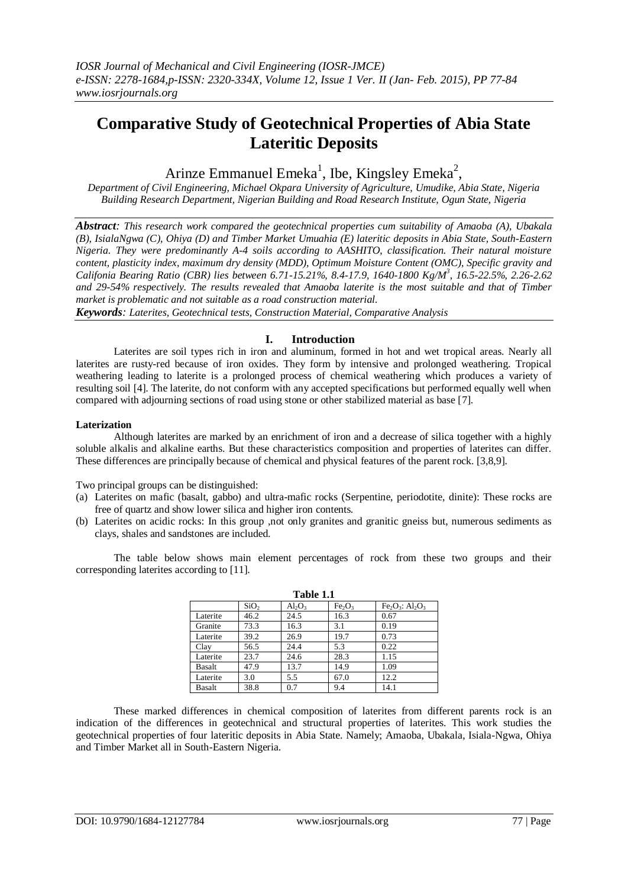# **Comparative Study of Geotechnical Properties of Abia State Lateritic Deposits**

# Arinze Emmanuel Emeka<sup>1</sup>, Ibe, Kingsley Emeka<sup>2</sup>,

*Department of Civil Engineering, Michael Okpara University of Agriculture, Umudike, Abia State, Nigeria Building Research Department, Nigerian Building and Road Research Institute, Ogun State, Nigeria*

*Abstract: This research work compared the geotechnical properties cum suitability of Amaoba (A), Ubakala (B), IsialaNgwa (C), Ohiya (D) and Timber Market Umuahia (E) lateritic deposits in Abia State, South-Eastern Nigeria. They were predominantly A-4 soils according to AASHITO, classification. Their natural moisture content, plasticity index, maximum dry density (MDD), Optimum Moisture Content (OMC), Specific gravity and Califonia Bearing Ratio (CBR) lies between 6.71-15.21%, 8.4-17.9, 1640-1800 Kg/M<sup>3</sup> , 16.5-22.5%, 2.26-2.62 and 29-54% respectively. The results revealed that Amaoba laterite is the most suitable and that of Timber market is problematic and not suitable as a road construction material.*

*Keywords: Laterites, Geotechnical tests, Construction Material, Comparative Analysis* 

# **I. Introduction**

Laterites are soil types rich in iron and aluminum, formed in hot and wet tropical areas. Nearly all laterites are rusty-red because of iron oxides. They form by intensive and prolonged weathering. Tropical weathering leading to laterite is a prolonged process of chemical weathering which produces a variety of resulting soil [4]. The laterite, do not conform with any accepted specifications but performed equally well when compared with adjourning sections of road using stone or other stabilized material as base [7].

## **Laterization**

Although laterites are marked by an enrichment of iron and a decrease of silica together with a highly soluble alkalis and alkaline earths. But these characteristics composition and properties of laterites can differ. These differences are principally because of chemical and physical features of the parent rock. [3,8,9].

Two principal groups can be distinguished:

- (a) Laterites on mafic (basalt, gabbo) and ultra-mafic rocks (Serpentine, periodotite, dinite): These rocks are free of quartz and show lower silica and higher iron contents.
- (b) Laterites on acidic rocks: In this group ,not only granites and granitic gneiss but, numerous sediments as clays, shales and sandstones are included.

The table below shows main element percentages of rock from these two groups and their corresponding laterites according to [11].

| 1 adie 1.1 |                  |           |                                |                |  |  |  |  |
|------------|------------------|-----------|--------------------------------|----------------|--|--|--|--|
|            | SiO <sub>2</sub> | $Al_2O_3$ | Fe <sub>2</sub> O <sub>3</sub> | $Fe2O3: Al2O3$ |  |  |  |  |
| Laterite   | 46.2             | 24.5      | 16.3                           | 0.67           |  |  |  |  |
| Granite    | 73.3             | 16.3      | 3.1                            | 0.19           |  |  |  |  |
| Laterite   | 39.2             | 26.9      | 19.7                           | 0.73           |  |  |  |  |
| Clay       | 56.5             | 24.4      | 5.3                            | 0.22           |  |  |  |  |
| Laterite   | 23.7             | 24.6      | 28.3                           | 1.15           |  |  |  |  |
| Basalt     | 47.9             | 13.7      | 14.9                           | 1.09           |  |  |  |  |
| Laterite   | 3.0              | 5.5       | 67.0                           | 12.2           |  |  |  |  |
| Basalt     | 38.8             | 0.7       | 9.4                            | 14.1           |  |  |  |  |

**Table 1.1**

These marked differences in chemical composition of laterites from different parents rock is an indication of the differences in geotechnical and structural properties of laterites. This work studies the geotechnical properties of four lateritic deposits in Abia State. Namely; Amaoba, Ubakala, Isiala-Ngwa, Ohiya and Timber Market all in South-Eastern Nigeria.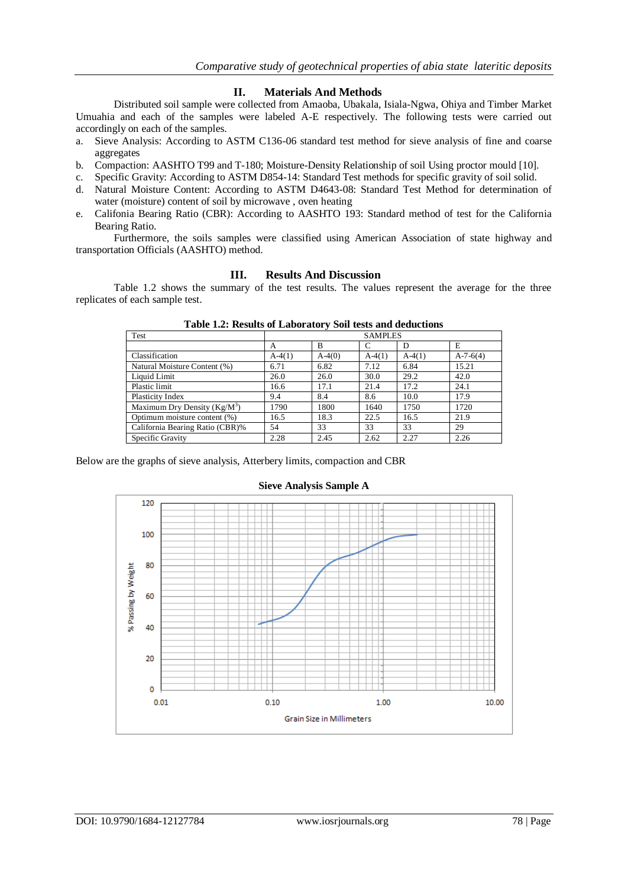### **II. Materials And Methods**

Distributed soil sample were collected from Amaoba, Ubakala, Isiala-Ngwa, Ohiya and Timber Market Umuahia and each of the samples were labeled A-E respectively. The following tests were carried out accordingly on each of the samples.

- a. Sieve Analysis: According to ASTM C136-06 standard test method for sieve analysis of fine and coarse aggregates
- b. Compaction: AASHTO T99 and T-180; Moisture-Density Relationship of soil Using proctor mould [10].
- c. Specific Gravity: According to ASTM D854-14: Standard Test methods for specific gravity of soil solid.
- d. Natural Moisture Content: According to ASTM D4643-08: Standard Test Method for determination of water (moisture) content of soil by microwave , oven heating
- e. Califonia Bearing Ratio (CBR): According to AASHTO 193: Standard method of test for the California Bearing Ratio.

Furthermore, the soils samples were classified using American Association of state highway and transportation Officials (AASHTO) method.

#### **III. Results And Discussion**

Table 1.2 shows the summary of the test results. The values represent the average for the three replicates of each sample test.

| Test                            |          |          | <b>SAMPLES</b> |          |            |
|---------------------------------|----------|----------|----------------|----------|------------|
|                                 | A        | B        |                | D        | E          |
| Classification                  | $A-4(1)$ | $A-4(0)$ | $A-4(1)$       | $A-4(1)$ | $A-7-6(4)$ |
| Natural Moisture Content (%)    | 6.71     | 6.82     | 7.12           | 6.84     | 15.21      |
| Liquid Limit                    | 26.0     | 26.0     | 30.0           | 29.2     | 42.0       |
| Plastic limit                   | 16.6     | 17.1     | 21.4           | 17.2     | 24.1       |
| <b>Plasticity Index</b>         | 9.4      | 8.4      | 8.6            | 10.0     | 17.9       |
| Maximum Dry Density $(Kg/M^3)$  | 1790     | 1800     | 1640           | 1750     | 1720       |
| Optimum moisture content (%)    | 16.5     | 18.3     | 22.5           | 16.5     | 21.9       |
| California Bearing Ratio (CBR)% | 54       | 33       | 33             | 33       | 29         |
| Specific Gravity                | 2.28     | 2.45     | 2.62           | 2.27     | 2.26       |

**Table 1.2: Results of Laboratory Soil tests and deductions**

Below are the graphs of sieve analysis, Atterbery limits, compaction and CBR



#### **Sieve Analysis Sample A**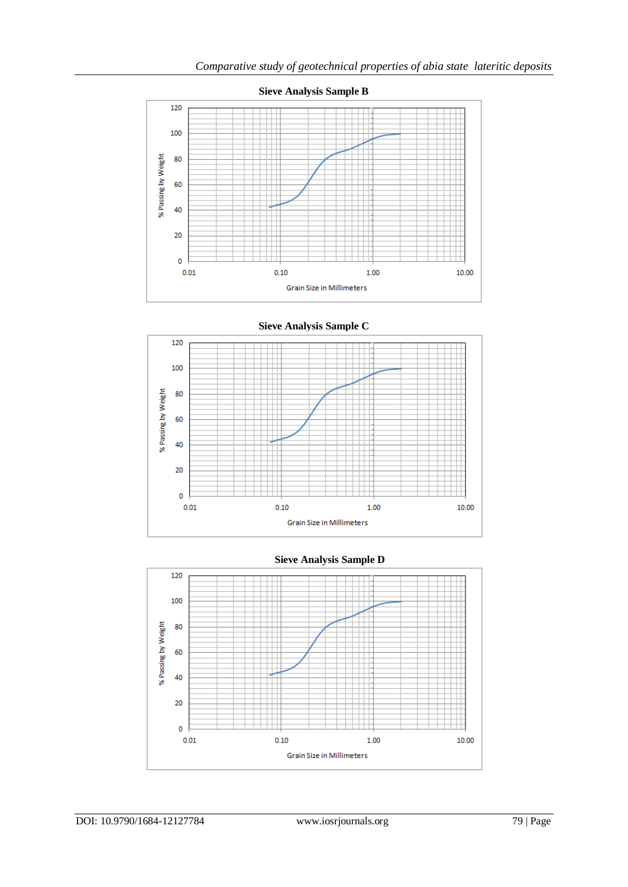

**Sieve Analysis Sample C**





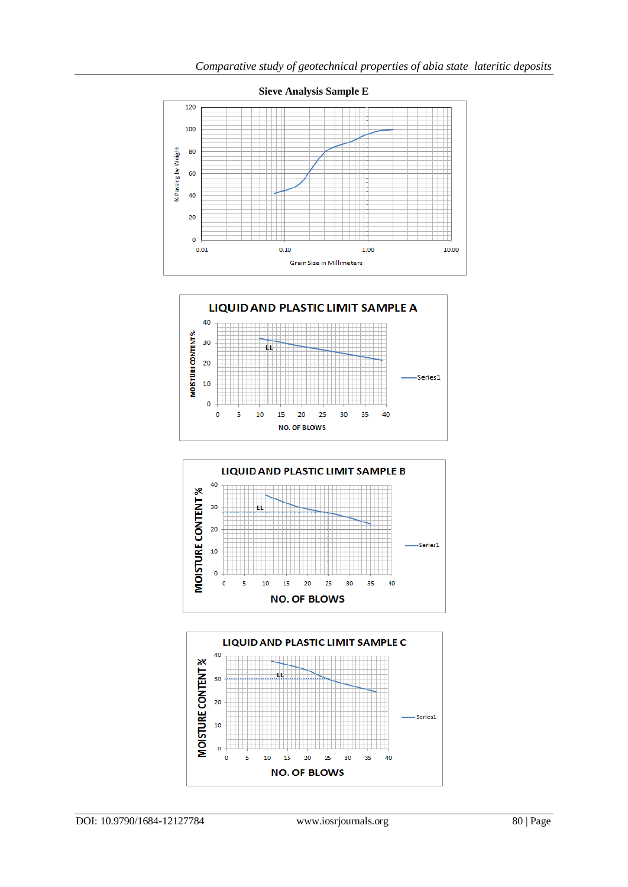





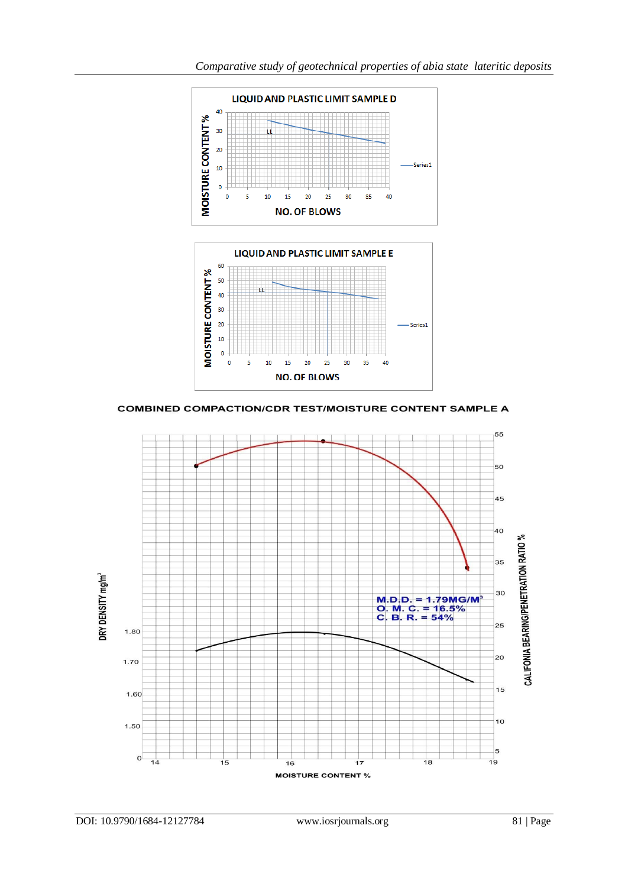

**COMBINED COMPACTION/CDR TEST/MOISTURE CONTENT SAMPLE A** 

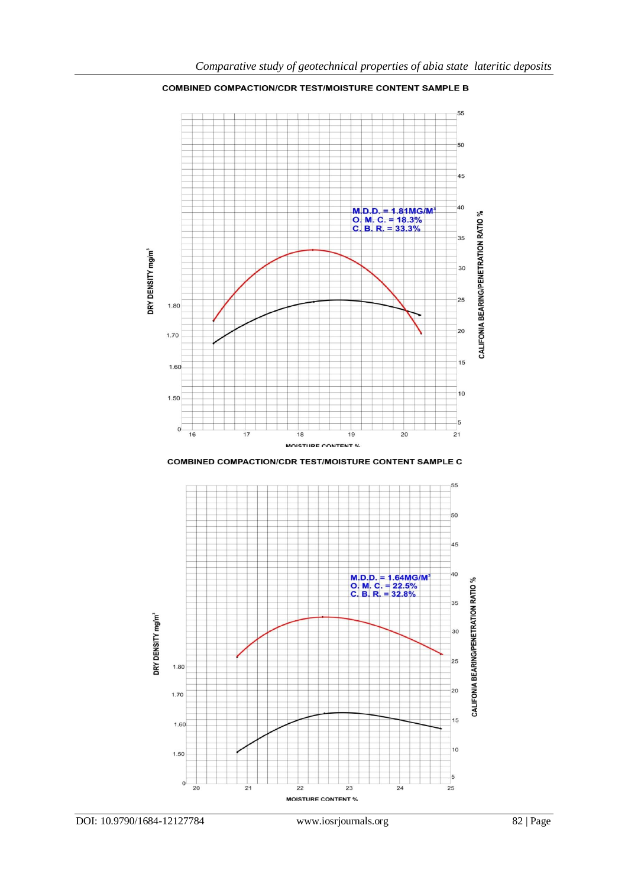

**COMBINED COMPACTION/CDR TEST/MOISTURE CONTENT SAMPLE B** 

**COMBINED COMPACTION/CDR TEST/MOISTURE CONTENT SAMPLE C** 

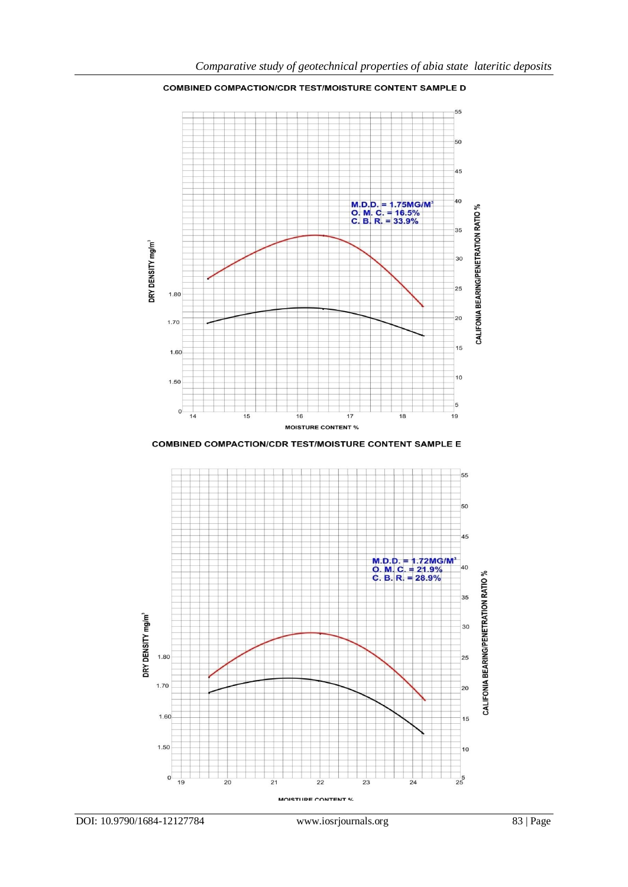DRY DENSITY mg/m<sup>3</sup>

1.80

1.70



**COMBINED COMPACTION/CDR TEST/MOISTURE CONTENT SAMPLE D** 

*Comparative study of geotechnical properties of abia state lateritic deposits*

M.D.D. = 1.75MG/M<br>O. M. C. = 16.5%<br>C. B. R. = 33.9%

 $50$ 

45

 $40$ 

 $35$ 

 $30$ 

 $20$ 

15

CALIFONIA BEARING/PENETRATION RATIO %